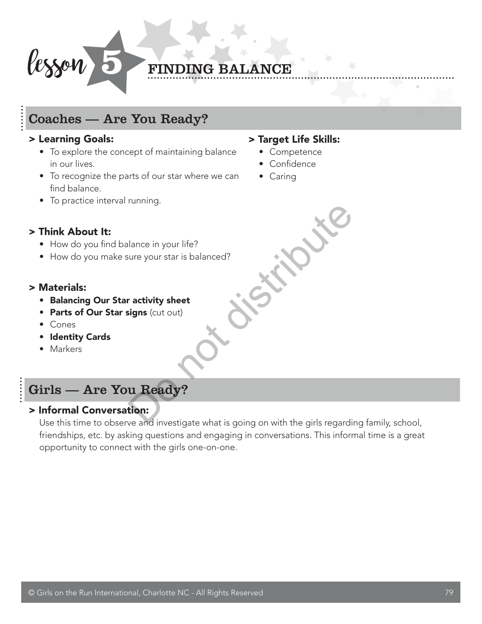

#### **FINDING BALANCE**

#### Coaches — Are You Ready?

#### > Learning Goals:

- To explore the concept of maintaining balance in our lives.
- To recognize the parts of our star where we can find balance.
- To practice interval running.

#### > Target Life Skills: • Competence

- Confidence
- Caring

#### > Think About It:

- How do you find balance in your life?
- How do you make sure your star is balanced?

#### > Materials:

- Balancing Our Star activity sheet
- Parts of Our Star signs (cut out)
- Cones
- Identity Cards
- Markers

#### Girls — Are You Ready?

#### > Informal Conversation:

Use this time to observe and investigate what is going on with the girls regarding family, school, friendships, etc. by asking questions and engaging in conversations. This informal time is a great opportunity to connect with the girls one-on-one. Particular and in your life?<br>
<br>
Particular your star is balanced?<br>
<br> **Example 18 and investigate what is going on with the girls regard**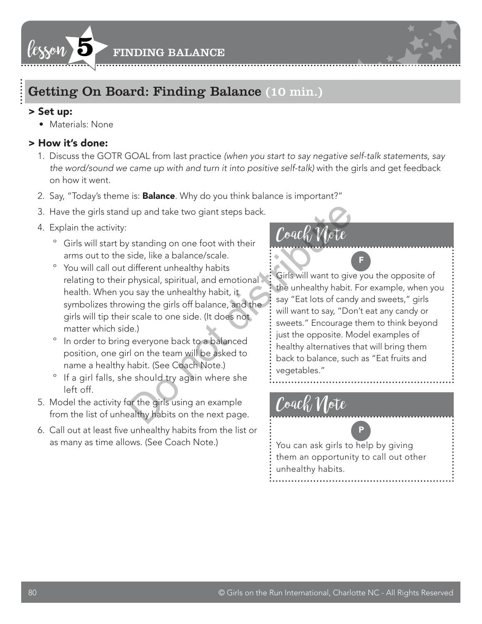



#### Getting On Board: Finding Balance (10 min.)

#### > Set up:

• Materials: None

#### > How it's done:

- 1. Discuss the GOTR GOAL from last practice *(when you start to say negative self-talk statements, say the word/sound we came up with and turn it into positive self-talk)* with the girls and get feedback on how it went.
- 2. Say, "Today's theme is: **Balance**. Why do you think balance is important?"
- 3. Have the girls stand up and take two giant steps back.
- 4. Explain the activity:
	- º Girls will start by standing on one foot with their arms out to the side, like a balance/scale.
- º You will call out different unhealthy habits relating to their physical, spiritual, and emotional health. When you say the unhealthy habit, it symbolizes throwing the girls off balance, and the girls will tip their scale to one side. (It does not matter which side.) But the shading on one foot with their<br>
side, like a balance/scale.<br>
different unhealthy habits<br>
physical, spiritual, and emotional<br>
with the unhealthy habit, it<br>
wing the girls off balance, and the<br>
sace one side. (It do
	- º In order to bring everyone back to a balanced position, one girl on the team will be asked to name a healthy habit. (See Coach Note.)
	- º If a girl falls, she should try again where she left off.
- 5. Model the activity for the girls using an example from the list of unhealthy habits on the next page.
- 6. Call out at least five unhealthy habits from the list or as many as time allows. (See Coach Note.)

#### $\mathit{Cock}$

Girls will want to give you the opposite of the unhealthy habit. For example, when you say "Eat lots of candy and sweets," girls will want to say, "Don't eat any candy or sweets." Encourage them to think beyond just the opposite. Model examples of healthy alternatives that will bring them back to balance, such as "Eat fruits and vegetables."

F

#### Coach Note

You can ask girls to help by giving them an opportunity to call out other unhealthy habits.

P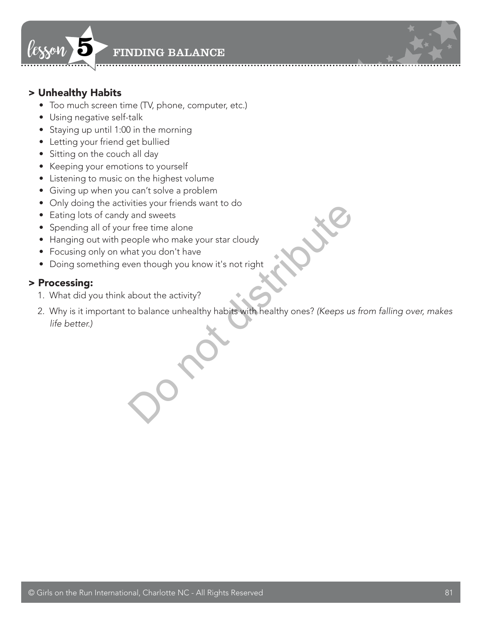

#### > Unhealthy Habits

- Too much screen time (TV, phone, computer, etc.)
- Using negative self-talk
- Staying up until 1:00 in the morning
- Letting your friend get bullied
- Sitting on the couch all day
- Keeping your emotions to yourself
- Listening to music on the highest volume
- Giving up when you can't solve a problem
- Only doing the activities your friends want to do
- Eating lots of candy and sweets
- Spending all of your free time alone
- Hanging out with people who make your star cloudy
- Focusing only on what you don't have
- Doing something even though you know it's not right

#### > Processing:

- 1. What did you think about the activity?
- 2. Why is it important to balance unhealthy habits with healthy ones? *(Keeps us from falling over, makes life better.)* Vides your mentas want to do<br>
and sweets<br>
r free time alone<br>
eople who make your star cloudy<br>
hat you don't have<br>
ven though you know it's not right<br>
about the activity?<br>
to balance unhealthy habits with healthy ones? (Kee

© Girls on the Run International, Charlotte NC - All Rights Reserved 81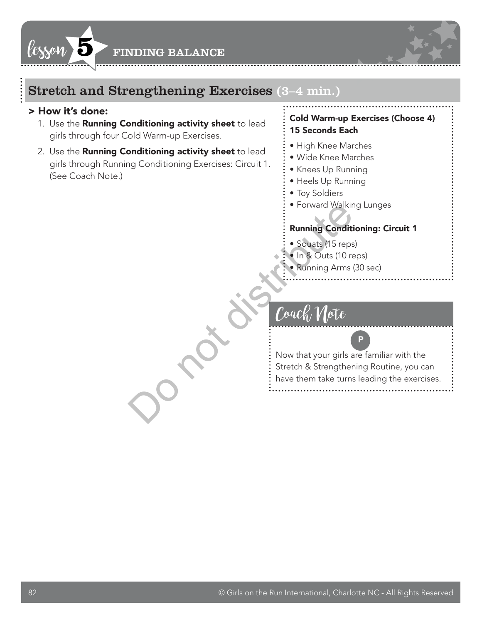



#### > How it's done:

- 1. Use the **Running Conditioning activity sheet** to lead girls through four Cold Warm-up Exercises.
- 2. Use the Running Conditioning activity sheet to lead girls through Running Conditioning Exercises: Circuit 1. (See Coach Note.)

#### Cold Warm-up Exercises (Choose 4) 15 Seconds Each

- High Knee Marches
- Wide Knee Marches
- Knees Up Running
- Heels Up Running
- Toy Soldiers
- Forward Walking Lunges

#### Running Conditioning: Circuit 1

- Squats (15 reps)
- In & Outs (10 reps)
- Running Arms (30 sec)

#### $\theta'$ o $q\epsilon$

Now that your girls are familiar with the Stretch & Strengthening Routine, you can have them take turns leading the exercises. Do not distribute

P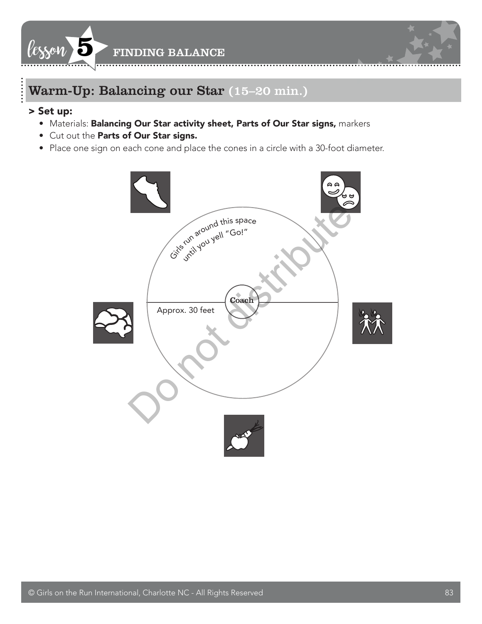



#### > Set up:

- Materials: Balancing Our Star activity sheet, Parts of Our Star signs, markers
- Cut out the Parts of Our Star signs.
- Place one sign on each cone and place the cones in a circle with a 30-foot diameter.

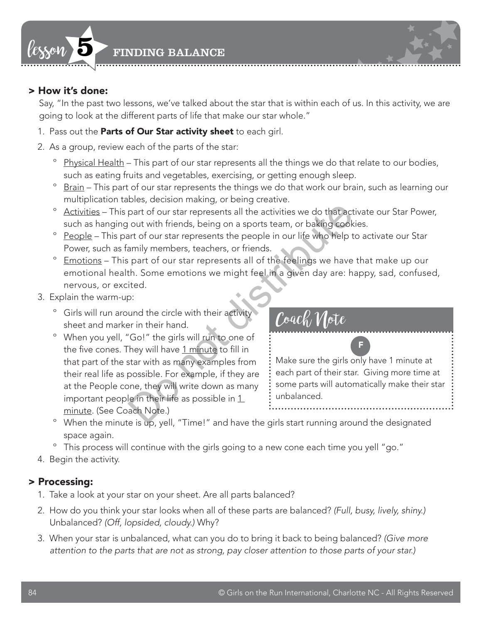

#### > How it's done:

Say, "In the past two lessons, we've talked about the star that is within each of us. In this activity, we are going to look at the different parts of life that make our star whole."

- 1. Pass out the Parts of Our Star activity sheet to each girl.
- 2. As a group, review each of the parts of the star:
	- <sup>o</sup> Physical Health This part of our star represents all the things we do that relate to our bodies, such as eating fruits and vegetables, exercising, or getting enough sleep.
	- º Brain This part of our star represents the things we do that work our brain, such as learning our multiplication tables, decision making, or being creative.
	- º Activities This part of our star represents all the activities we do that activate our Star Power, such as hanging out with friends, being on a sports team, or baking cookies.
	- <sup>o</sup> People This part of our star represents the people in our life who help to activate our Star Power, such as family members, teachers, or friends.
	- º Emotions This part of our star represents all of the feelings we have that make up our emotional health. Some emotions we might feel in a given day are: happy, sad, confused, nervous, or excited.
- 3. Explain the warm-up:
	- º Girls will run around the circle with their activity sheet and marker in their hand.
- º When you yell, "Go!" the girls will run to one of the five cones. They will have 1 minute to fill in that part of the star with as many examples from their real life as possible. For example, if they are at the People cone, they will write down as many important people in their life as possible in  $1$ minute. (See Coach Note.) part of our star represents all the activities we do that act<br>
out with friends, being on a sports team, or baking cook<br>
art of our star represents the people in our life who help t<br>
armily members, teachers, or friends.<br>

Coach Note

Make sure the girls only have 1 minute at each part of their star. Giving more time at some parts will automatically make their star unbalanced.

F

- º When the minute is up, yell, "Time!" and have the girls start running around the designated space again.
- º This process will continue with the girls going to a new cone each time you yell "go."
- 4. Begin the activity.

#### > Processing:

- 1. Take a look at your star on your sheet. Are all parts balanced?
- 2. How do you think your star looks when all of these parts are balanced? *(Full, busy, lively, shiny.)* Unbalanced? *(Off, lopsided, cloudy.)* Why?
- 3. When your star is unbalanced, what can you do to bring it back to being balanced? *(Give more attention to the parts that are not as strong, pay closer attention to those parts of your star.)*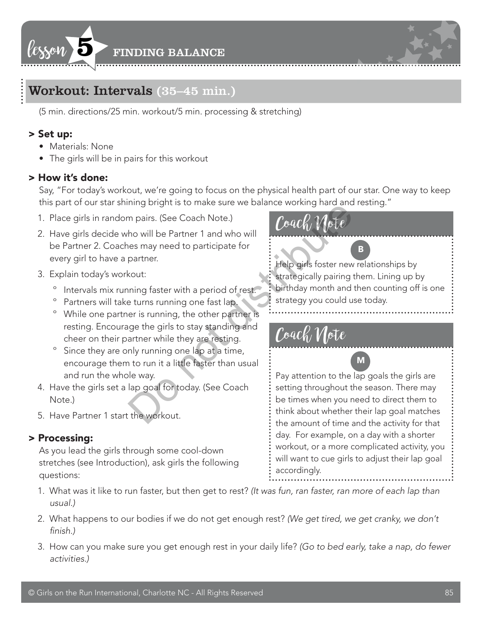



(5 min. directions/25 min. workout/5 min. processing & stretching)

#### > Set up:

- Materials: None
- The girls will be in pairs for this workout

#### > How it's done:

Say, "For today's workout, we're going to focus on the physical health part of our star. One way to keep this part of our star shining bright is to make sure we balance working hard and resting."

- 1. Place girls in random pairs. (See Coach Note.)
- 2. Have girls decide who will be Partner 1 and who will be Partner 2. Coaches may need to participate for every girl to have a partner. ming bright is to make strew we balance working hard and<br>
m pairs. (See Coach Note.)<br>
ho will be Partner 1 and who will<br>
nes may need to participate for<br>
partner.<br>
scutt:<br>
strategically pairing that a period of rest.<br>
str
- 3. Explain today's workout:
	- º Intervals mix running faster with a period of rest.
	- º Partners will take turns running one fast lap.
	- º While one partner is running, the other partner is resting. Encourage the girls to stay standing and cheer on their partner while they are resting.
	- º Since they are only running one lap at a time, encourage them to run it a little faster than usual and run the whole way.
- 4. Have the girls set a lap goal for today. (See Coach Note.)
- 5. Have Partner 1 start the workout.

#### > Processing:

As you lead the girls through some cool-down stretches (see Introduction), ask girls the following questions:



Help girls foster new relationships by strategically pairing them. Lining up by birthday month and then counting off is one strategy you could use today.

B

#### Coach Note



Pay attention to the lap goals the girls are setting throughout the season. There may be times when you need to direct them to think about whether their lap goal matches the amount of time and the activity for that day. For example, on a day with a shorter workout, or a more complicated activity, you will want to cue girls to adjust their lap goal accordingly.

- 1. What was it like to run faster, but then get to rest? *(It was fun, ran faster, ran more of each lap than usual.)*
- 2. What happens to our bodies if we do not get enough rest? *(We get tired, we get cranky, we don't*  finish.)
- 3. How can you make sure you get enough rest in your daily life? *(Go to bed early, take a nap, do fewer activities.)*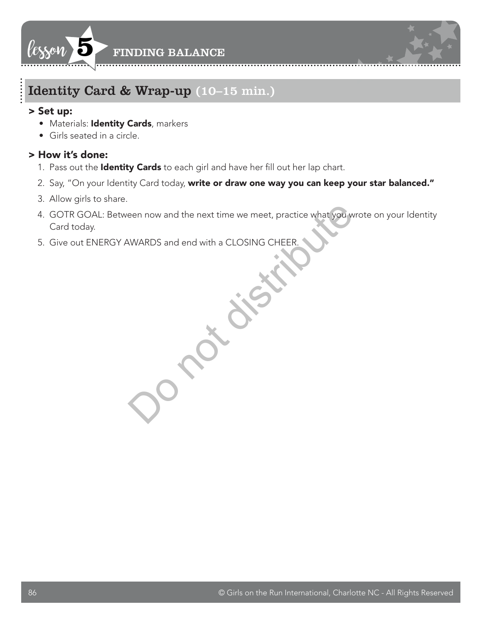



#### Identity Card & Wrap-up (10–15 min.)

#### > Set up:

- Materials: Identity Cards, markers
- Girls seated in a circle.

#### > How it's done:

- 1. Pass out the **Identity Cards** to each girl and have her fill out her lap chart.
- 2. Say, "On your Identity Card today, write or draw one way you can keep your star balanced."
- 3. Allow girls to share.
- 4. GOTR GOAL: Between now and the next time we meet, practice what you wrote on your Identity Card today. een now and the next time we meet, practice what you've<br>AWARDS and end with a CLOSING CHEER.
- 5. Give out ENERGY AWARDS and end with a CLOSING CHEER.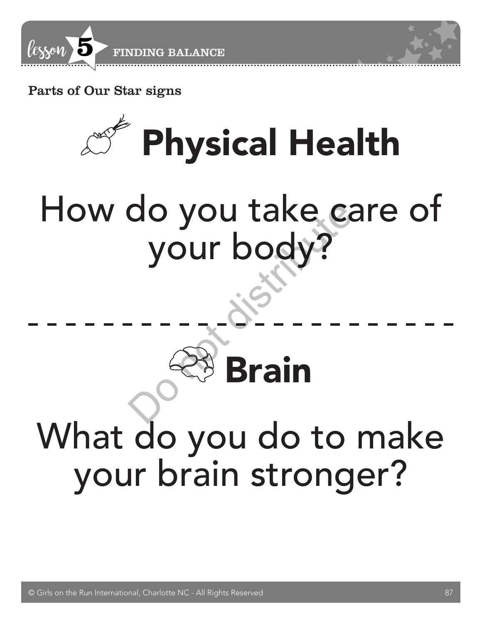

Parts of Our Star signs



## How do you take care of your body? Do not distribute

### Brain What do you do to make your brain stronger?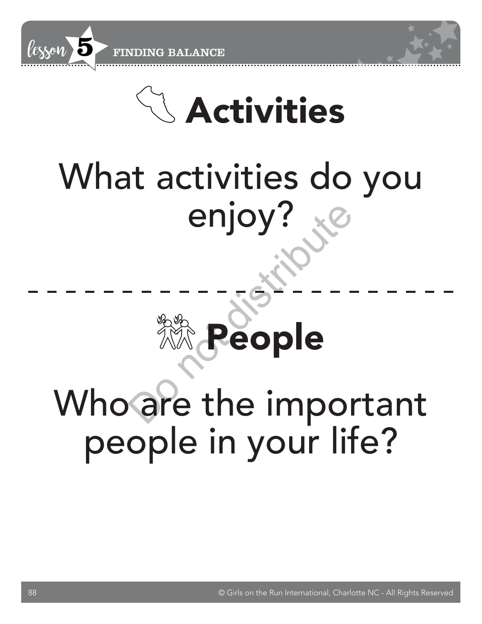



### What activities do you enjoy?



# Who are the important Do not distributepeople in your life?

88 © Girls on the Run International, Charlotte NC - All Rights Reserved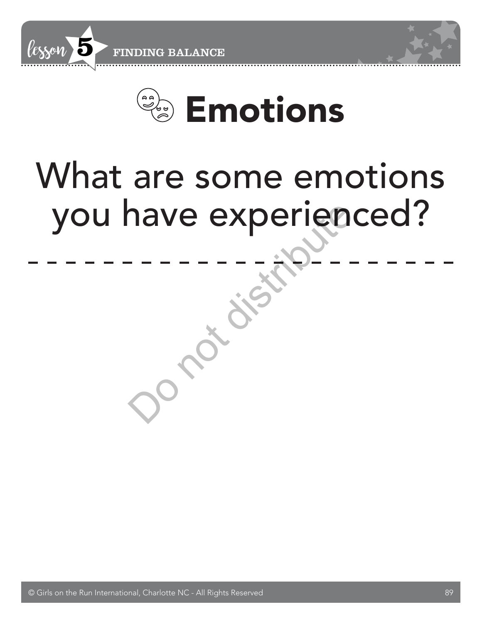

# What are some emotions you have experienced? Do not distribute

© Girls on the Run International, Charlotte NC - All Rights Reserved 89